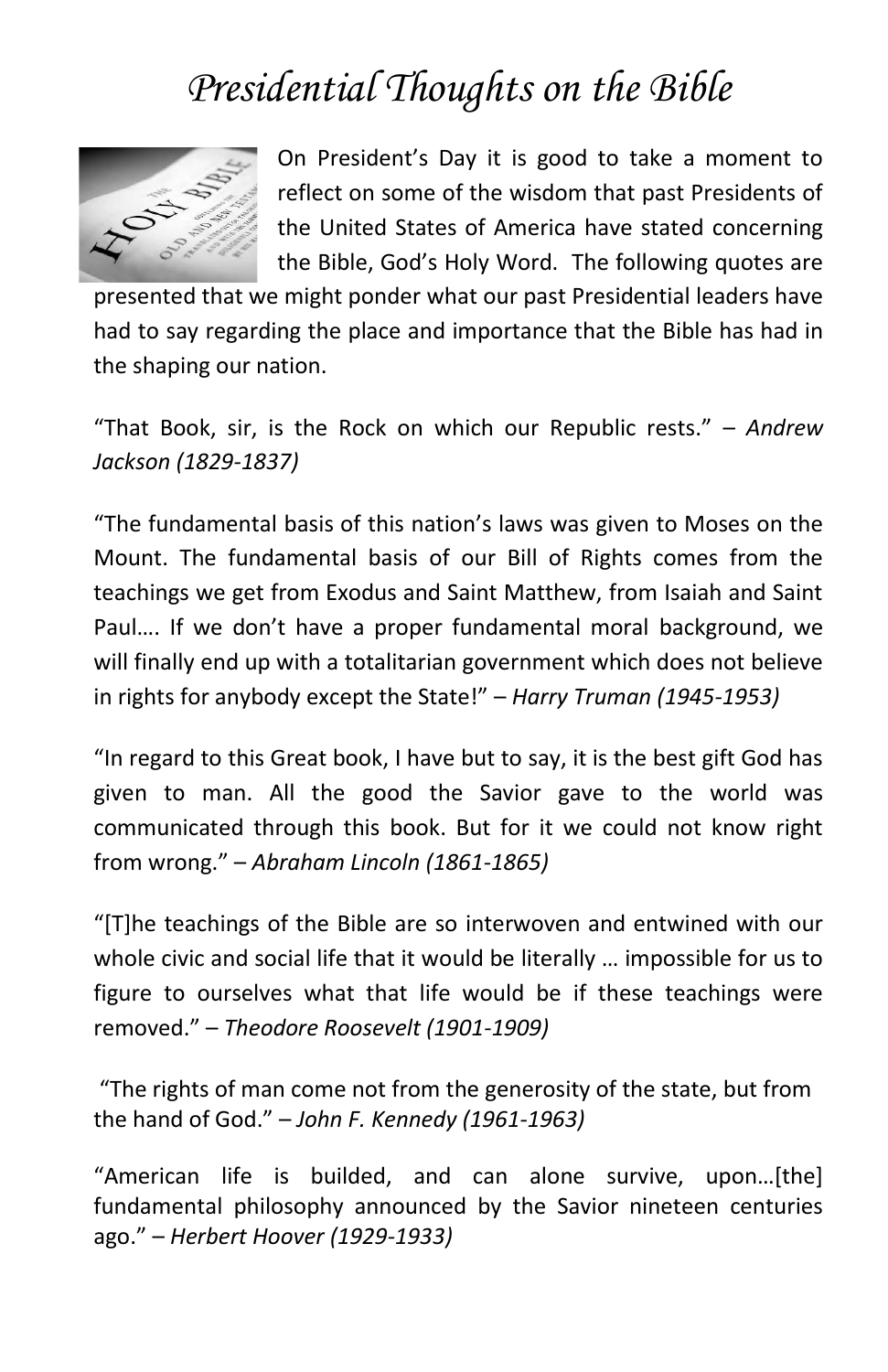## *Presidential Thoughts on the Bible*



On President's Day it is good to take a moment to reflect on some of the wisdom that past Presidents of the United States of America have stated concerning the Bible, God's Holy Word. The following quotes are

presented that we might ponder what our past Presidential leaders have had to say regarding the place and importance that the Bible has had in the shaping our nation.

"That Book, sir, is the Rock on which our Republic rests." – *Andrew Jackson (1829-1837)*

"The fundamental basis of this nation's laws was given to Moses on the Mount. The fundamental basis of our Bill of Rights comes from the teachings we get from Exodus and Saint Matthew, from Isaiah and Saint Paul…. If we don't have a proper fundamental moral background, we will finally end up with a totalitarian government which does not believe in rights for anybody except the State!" – *Harry Truman (1945-1953)*

"In regard to this Great book, I have but to say, it is the best gift God has given to man. All the good the Savior gave to the world was communicated through this book. But for it we could not know right from wrong." – *Abraham Lincoln (1861-1865)*

"[T]he teachings of the Bible are so interwoven and entwined with our whole civic and social life that it would be literally … impossible for us to figure to ourselves what that life would be if these teachings were removed." – *Theodore Roosevelt (1901-1909)*

"The rights of man come not from the generosity of the state, but from the hand of God." – *John F. Kennedy (1961-1963)*

"American life is builded, and can alone survive, upon…[the] fundamental philosophy announced by the Savior nineteen centuries ago." – *Herbert Hoover (1929-1933)*